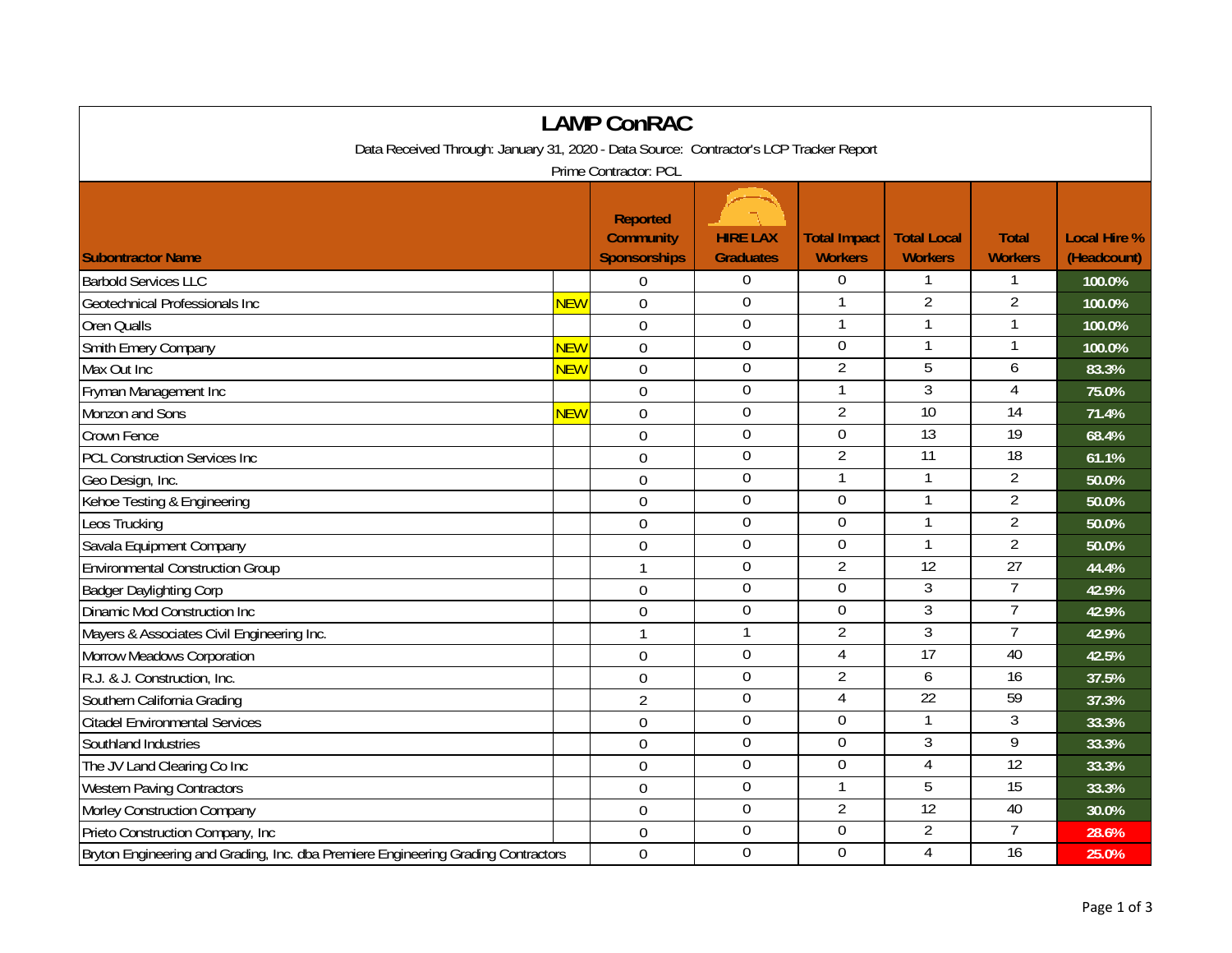| <b>LAMP ConRAC</b>                                                                     |            |                                                            |                                     |                                       |                                      |                                |                                    |  |
|----------------------------------------------------------------------------------------|------------|------------------------------------------------------------|-------------------------------------|---------------------------------------|--------------------------------------|--------------------------------|------------------------------------|--|
| Data Received Through: January 31, 2020 - Data Source: Contractor's LCP Tracker Report |            |                                                            |                                     |                                       |                                      |                                |                                    |  |
| Prime Contractor: PCL                                                                  |            |                                                            |                                     |                                       |                                      |                                |                                    |  |
| <b>Subontractor Name</b>                                                               |            | <b>Reported</b><br><b>Community</b><br><b>Sponsorships</b> | <b>HIRE LAX</b><br><b>Graduates</b> | <b>Total Impact</b><br><b>Workers</b> | <b>Total Local</b><br><b>Workers</b> | <b>Total</b><br><b>Workers</b> | <b>Local Hire %</b><br>(Headcount) |  |
| <b>Barbold Services LLC</b>                                                            |            | 0                                                          | $\overline{0}$                      | $\theta$                              |                                      |                                | 100.0%                             |  |
| Geotechnical Professionals Inc                                                         | <b>NEW</b> | $\mathbf 0$                                                | $\mathbf 0$                         | $\mathbf{1}$                          | $\overline{2}$                       | $\overline{2}$                 | 100.0%                             |  |
| Oren Qualls                                                                            |            | $\overline{0}$                                             | $\mathbf 0$                         |                                       |                                      |                                | 100.0%                             |  |
| Smith Emery Company                                                                    | <b>NEW</b> | $\overline{0}$                                             | $\mathbf 0$                         | $\overline{0}$                        | $\mathbf{1}$                         | $\mathbf{1}$                   | 100.0%                             |  |
| Max Out Inc                                                                            | NEW        | $\mathbf 0$                                                | $\overline{0}$                      | $\overline{2}$                        | 5                                    | 6                              | 83.3%                              |  |
| Fryman Management Inc                                                                  |            | $\mathbf 0$                                                | $\boldsymbol{0}$                    | $\mathbf{1}$                          | $\overline{3}$                       | 4                              | 75.0%                              |  |
| Monzon and Sons                                                                        | <b>NEW</b> | $\mathbf 0$                                                | $\boldsymbol{0}$                    | $\overline{2}$                        | 10                                   | 14                             | 71.4%                              |  |
| <b>Crown Fence</b>                                                                     |            | $\overline{0}$                                             | $\mathbf 0$                         | $\mathbf 0$                           | $\overline{13}$                      | $\overline{19}$                | 68.4%                              |  |
| <b>PCL Construction Services Inc</b>                                                   |            | $\mathbf 0$                                                | $\mathbf 0$                         | $\overline{2}$                        | $\overline{11}$                      | $\overline{18}$                | 61.1%                              |  |
| Geo Design, Inc.                                                                       |            | $\overline{0}$                                             | $\mathbf 0$                         | $\mathbf{1}$                          | $\mathbf{1}$                         | $\overline{2}$                 | 50.0%                              |  |
| Kehoe Testing & Engineering                                                            |            | $\mathbf 0$                                                | $\mathbf 0$                         | $\mathbf 0$                           |                                      | $\overline{2}$                 | 50.0%                              |  |
| Leos Trucking                                                                          |            | $\overline{0}$                                             | $\mathbf 0$                         | $\mathbf 0$                           |                                      | $\overline{2}$                 | 50.0%                              |  |
| Savala Equipment Company                                                               |            | $\mathbf 0$                                                | $\mathbf 0$                         | $\mathbf 0$                           | 1                                    | $\overline{2}$                 | 50.0%                              |  |
| <b>Environmental Construction Group</b>                                                |            | $\mathbf{1}$                                               | $\mathbf 0$                         | $\overline{2}$                        | $\overline{12}$                      | $\overline{27}$                | 44.4%                              |  |
| <b>Badger Daylighting Corp</b>                                                         |            | $\overline{0}$                                             | $\mathbf 0$                         | $\overline{0}$                        | 3                                    | $\overline{7}$                 | 42.9%                              |  |
| Dinamic Mod Construction Inc                                                           |            | $\overline{0}$                                             | $\mathbf 0$                         | $\mathbf 0$                           | $\overline{3}$                       | $\overline{7}$                 | 42.9%                              |  |
| Mayers & Associates Civil Engineering Inc.                                             |            | $\mathbf{1}$                                               | $\mathbf{1}$                        | $\overline{2}$                        | 3                                    | $\overline{7}$                 | 42.9%                              |  |
| Morrow Meadows Corporation                                                             |            | $\mathbf 0$                                                | $\boldsymbol{0}$                    | 4                                     | $\overline{17}$                      | 40                             | 42.5%                              |  |
| R.J. & J. Construction, Inc.                                                           |            | $\mathbf 0$                                                | $\overline{0}$                      | $\overline{2}$                        | 6                                    | 16                             | 37.5%                              |  |
| Southern California Grading                                                            |            | $\overline{2}$                                             | $\mathbf 0$                         | $\overline{4}$                        | $\overline{22}$                      | 59                             | 37.3%                              |  |
| <b>Citadel Environmental Services</b>                                                  |            | $\mathbf 0$                                                | $\overline{0}$                      | $\overline{0}$                        | $\mathbf{1}$                         | 3                              | 33.3%                              |  |
| Southland Industries                                                                   |            | $\mathbf 0$                                                | $\boldsymbol{0}$                    | $\boldsymbol{0}$                      | 3                                    | 9                              | 33.3%                              |  |
| The JV Land Clearing Co Inc                                                            |            | $\overline{0}$                                             | $\mathbf 0$                         | $\mathbf 0$                           | $\overline{4}$                       | 12                             | 33.3%                              |  |
| <b>Western Paving Contractors</b>                                                      |            | $\theta$                                                   | $\mathbf 0$                         | -1                                    | 5                                    | 15                             | 33.3%                              |  |
| Morley Construction Company                                                            |            | $\mathbf 0$                                                | $\mathbf 0$                         | $\overline{2}$                        | 12                                   | 40                             | 30.0%                              |  |
| Prieto Construction Company, Inc.                                                      |            | $\mathbf 0$                                                | $\boldsymbol{0}$                    | $\boldsymbol{0}$                      | $\overline{2}$                       | $\overline{7}$                 | 28.6%                              |  |
| Bryton Engineering and Grading, Inc. dba Premiere Engineering Grading Contractors      |            | $\mathbf 0$                                                | $\mathbf 0$                         | $\overline{0}$                        | 4                                    | $\overline{16}$                | 25.0%                              |  |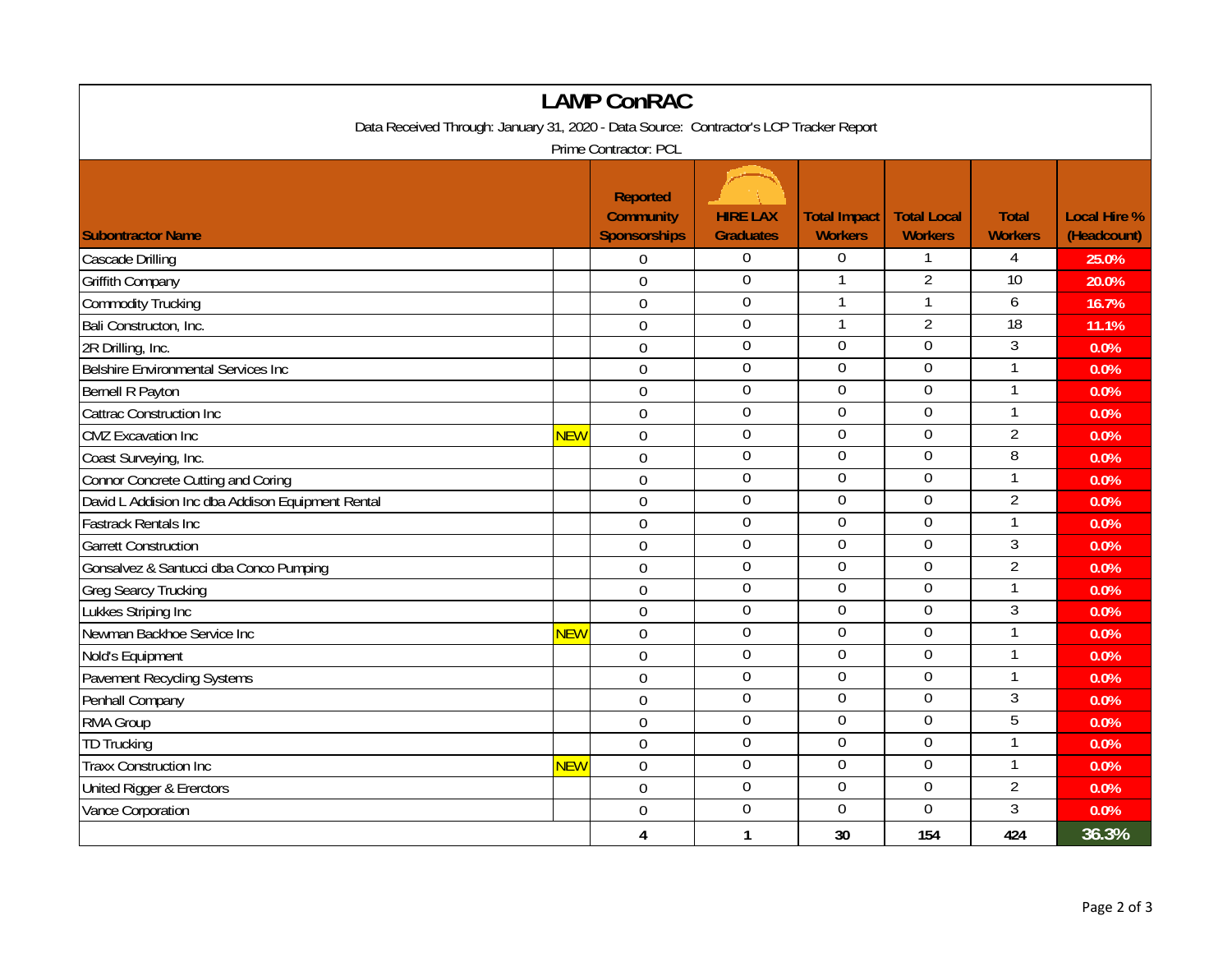| <b>LAMP ConRAC</b>                                                                     |            |                                                            |                                     |                                       |                                      |                                |                                    |  |
|----------------------------------------------------------------------------------------|------------|------------------------------------------------------------|-------------------------------------|---------------------------------------|--------------------------------------|--------------------------------|------------------------------------|--|
| Data Received Through: January 31, 2020 - Data Source: Contractor's LCP Tracker Report |            |                                                            |                                     |                                       |                                      |                                |                                    |  |
| Prime Contractor: PCL                                                                  |            |                                                            |                                     |                                       |                                      |                                |                                    |  |
| <b>Subontractor Name</b>                                                               |            | <b>Reported</b><br><b>Community</b><br><b>Sponsorships</b> | <b>HIRE LAX</b><br><b>Graduates</b> | <b>Total Impact</b><br><b>Workers</b> | <b>Total Local</b><br><b>Workers</b> | <b>Total</b><br><b>Workers</b> | <b>Local Hire %</b><br>(Headcount) |  |
| Cascade Drilling                                                                       |            | 0                                                          | $\mathbf 0$                         | $\boldsymbol{0}$                      |                                      | 4                              | 25.0%                              |  |
| <b>Griffith Company</b>                                                                |            | $\overline{0}$                                             | $\overline{0}$                      | $\mathbf{1}$                          | $\overline{2}$                       | 10                             | 20.0%                              |  |
| Commodity Trucking                                                                     |            | $\mathbf 0$                                                | $\mathbf 0$                         |                                       | 1                                    | 6                              | 16.7%                              |  |
| Bali Constructon, Inc.                                                                 |            | $\overline{0}$                                             | $\overline{0}$                      | $\mathbf{1}$                          | $\overline{2}$                       | 18                             | 11.1%                              |  |
| 2R Drilling, Inc.                                                                      |            | $\theta$                                                   | $\mathbf 0$                         | $\overline{0}$                        | $\overline{0}$                       | 3                              | 0.0%                               |  |
| Belshire Environmental Services Inc                                                    |            | $\mathbf 0$                                                | $\overline{0}$                      | $\boldsymbol{0}$                      | $\boldsymbol{0}$                     | $\mathbf{1}$                   | 0.0%                               |  |
| Bernell R Payton                                                                       |            | $\mathbf 0$                                                | $\boldsymbol{0}$                    | $\boldsymbol{0}$                      | $\boldsymbol{0}$                     | 1                              | 0.0%                               |  |
| Cattrac Construction Inc                                                               |            | $\overline{0}$                                             | $\mathbf 0$                         | $\mathbf 0$                           | $\mathbf 0$                          | $\mathbf{1}$                   | 0.0%                               |  |
| <b>CMZ</b> Excavation Inc                                                              | <b>NEW</b> | $\mathbf 0$                                                | $\boldsymbol{0}$                    | $\boldsymbol{0}$                      | $\boldsymbol{0}$                     | $\overline{2}$                 | 0.0%                               |  |
| Coast Surveying, Inc.                                                                  |            | $\overline{0}$                                             | $\mathbf 0$                         | $\overline{0}$                        | $\overline{0}$                       | 8                              | 0.0%                               |  |
| Connor Concrete Cutting and Coring                                                     |            | $\mathbf 0$                                                | $\Omega$                            | $\overline{0}$                        | $\Omega$                             | $\mathbf{1}$                   | 0.0%                               |  |
| David L Addision Inc dba Addison Equipment Rental                                      |            | $\overline{0}$                                             | $\mathbf 0$                         | $\overline{0}$                        | $\mathbf 0$                          | $\overline{2}$                 | 0.0%                               |  |
| <b>Fastrack Rentals Inc</b>                                                            |            | $\mathbf 0$                                                | $\mathbf 0$                         | $\mathbf 0$                           | $\mathbf 0$                          | $\mathbf{1}$                   | 0.0%                               |  |
| <b>Garrett Construction</b>                                                            |            | $\mathbf 0$                                                | $\boldsymbol{0}$                    | $\mathbf 0$                           | $\boldsymbol{0}$                     | $\mathfrak{Z}$                 | 0.0%                               |  |
| Gonsalvez & Santucci dba Conco Pumping                                                 |            | $\overline{0}$                                             | $\mathbf 0$                         | $\mathbf 0$                           | $\overline{0}$                       | $\overline{2}$                 | 0.0%                               |  |
| <b>Greg Searcy Trucking</b>                                                            |            | $\mathbf 0$                                                | $\mathbf 0$                         | $\mathbf 0$                           | $\mathbf 0$                          | $\mathbf{1}$                   | 0.0%                               |  |
| Lukkes Striping Inc                                                                    |            | $\overline{0}$                                             | $\mathbf 0$                         | $\mathbf 0$                           | $\mathbf 0$                          | $\mathfrak{Z}$                 | 0.0%                               |  |
| Newman Backhoe Service Inc                                                             | <b>NEW</b> | $\mathbf 0$                                                | $\mathbf 0$                         | $\overline{0}$                        | $\mathbf 0$                          | $\mathbf{1}$                   | 0.0%                               |  |
| Nold's Equipment                                                                       |            | $\mathbf 0$                                                | $\mathbf 0$                         | $\mathbf 0$                           | $\mathbf 0$                          | 1                              | 0.0%                               |  |
| Pavement Recycling Systems                                                             |            | $\mathbf 0$                                                | $\boldsymbol{0}$                    | $\boldsymbol{0}$                      | $\mathbf 0$                          |                                | 0.0%                               |  |
| Penhall Company                                                                        |            | $\overline{0}$                                             | $\mathbf 0$                         | $\mathbf 0$                           | $\mathbf 0$                          | 3                              | 0.0%                               |  |
| RMA Group                                                                              |            | $\mathbf 0$                                                | $\boldsymbol{0}$                    | $\overline{0}$                        | $\boldsymbol{0}$                     | 5                              | 0.0%                               |  |
| <b>TD Trucking</b>                                                                     |            | $\overline{0}$                                             | $\mathbf 0$                         | $\mathbf 0$                           | $\mathbf 0$                          | $\mathbf{1}$                   | 0.0%                               |  |
| <b>Traxx Construction Inc</b>                                                          | <b>NEW</b> | $\mathbf 0$                                                | $\overline{0}$                      | $\overline{0}$                        | $\overline{0}$                       | 1                              | 0.0%                               |  |
| United Rigger & Ererctors                                                              |            | $\mathbf 0$                                                | $\mathbf 0$                         | $\mathbf 0$                           | $\mathbf 0$                          | $\overline{2}$                 | 0.0%                               |  |
| Vance Corporation                                                                      |            | $\overline{0}$                                             | $\mathbf 0$                         | $\mathbf 0$                           | $\mathbf 0$                          | $\overline{3}$                 | 0.0%                               |  |
|                                                                                        |            | 4                                                          | 1                                   | 30                                    | 154                                  | 424                            | 36.3%                              |  |